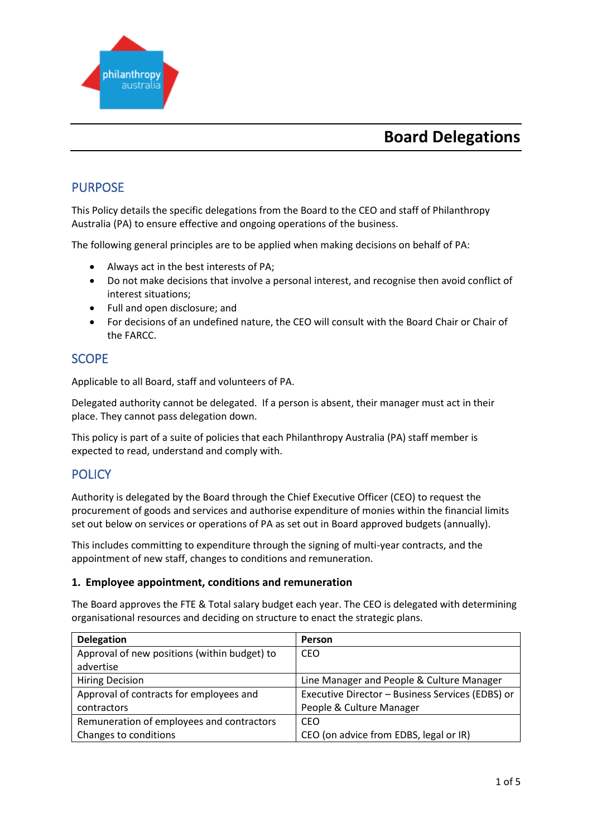

# **Board Delegations**

## PURPOSE

This Policy details the specific delegations from the Board to the CEO and staff of Philanthropy Australia (PA) to ensure effective and ongoing operations of the business.

The following general principles are to be applied when making decisions on behalf of PA:

- Always act in the best interests of PA;
- Do not make decisions that involve a personal interest, and recognise then avoid conflict of interest situations;
- Full and open disclosure; and
- For decisions of an undefined nature, the CEO will consult with the Board Chair or Chair of the FARCC.

### **SCOPE**

Applicable to all Board, staff and volunteers of PA.

Delegated authority cannot be delegated. If a person is absent, their manager must act in their place. They cannot pass delegation down.

This policy is part of a suite of policies that each Philanthropy Australia (PA) staff member is expected to read, understand and comply with.

### **POLICY**

Authority is delegated by the Board through the Chief Executive Officer (CEO) to request the procurement of goods and services and authorise expenditure of monies within the financial limits set out below on services or operations of PA as set out in Board approved budgets (annually).

This includes committing to expenditure through the signing of multi-year contracts, and the appointment of new staff, changes to conditions and remuneration.

#### **1. Employee appointment, conditions and remuneration**

The Board approves the FTE & Total salary budget each year. The CEO is delegated with determining organisational resources and deciding on structure to enact the strategic plans.

| <b>Delegation</b>                            | Person                                           |  |
|----------------------------------------------|--------------------------------------------------|--|
| Approval of new positions (within budget) to | CEO                                              |  |
| advertise                                    |                                                  |  |
| <b>Hiring Decision</b>                       | Line Manager and People & Culture Manager        |  |
| Approval of contracts for employees and      | Executive Director - Business Services (EDBS) or |  |
| contractors                                  | People & Culture Manager                         |  |
| Remuneration of employees and contractors    | CEO                                              |  |
| Changes to conditions                        | CEO (on advice from EDBS, legal or IR)           |  |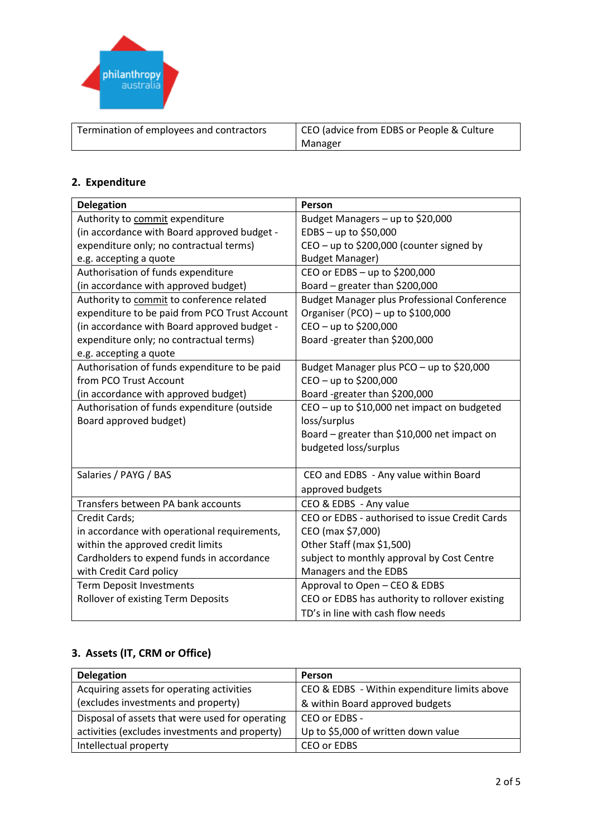

| Termination of employees and contractors | CEO (advice from EDBS or People & Culture |  |
|------------------------------------------|-------------------------------------------|--|
|                                          | Manager                                   |  |

### **2. Expenditure**

| <b>Delegation</b>                             | Person                                             |  |
|-----------------------------------------------|----------------------------------------------------|--|
| Authority to commit expenditure               | Budget Managers - up to \$20,000                   |  |
| (in accordance with Board approved budget -   | $EDBS - up to $50,000$                             |  |
| expenditure only; no contractual terms)       | CEO - up to \$200,000 (counter signed by           |  |
| e.g. accepting a quote                        | <b>Budget Manager)</b>                             |  |
| Authorisation of funds expenditure            | CEO or EDBS - up to \$200,000                      |  |
| (in accordance with approved budget)          | Board - greater than \$200,000                     |  |
| Authority to commit to conference related     | <b>Budget Manager plus Professional Conference</b> |  |
| expenditure to be paid from PCO Trust Account | Organiser (PCO) - up to \$100,000                  |  |
| (in accordance with Board approved budget -   | CEO - up to \$200,000                              |  |
| expenditure only; no contractual terms)       | Board -greater than \$200,000                      |  |
| e.g. accepting a quote                        |                                                    |  |
| Authorisation of funds expenditure to be paid | Budget Manager plus PCO - up to \$20,000           |  |
| from PCO Trust Account                        | CEO - up to \$200,000                              |  |
| (in accordance with approved budget)          | Board -greater than \$200,000                      |  |
| Authorisation of funds expenditure (outside   | CEO - up to \$10,000 net impact on budgeted        |  |
| Board approved budget)                        | loss/surplus                                       |  |
|                                               | Board – greater than \$10,000 net impact on        |  |
|                                               | budgeted loss/surplus                              |  |
|                                               |                                                    |  |
| Salaries / PAYG / BAS                         | CEO and EDBS - Any value within Board              |  |
|                                               | approved budgets                                   |  |
| Transfers between PA bank accounts            | CEO & EDBS - Any value                             |  |
| Credit Cards;                                 | CEO or EDBS - authorised to issue Credit Cards     |  |
| in accordance with operational requirements,  | CEO (max \$7,000)                                  |  |
| within the approved credit limits             | Other Staff (max \$1,500)                          |  |
| Cardholders to expend funds in accordance     | subject to monthly approval by Cost Centre         |  |
| with Credit Card policy                       | Managers and the EDBS                              |  |
| <b>Term Deposit Investments</b>               | Approval to Open - CEO & EDBS                      |  |
| Rollover of existing Term Deposits            | CEO or EDBS has authority to rollover existing     |  |
|                                               | TD's in line with cash flow needs                  |  |

# **3. Assets (IT, CRM or Office)**

| <b>Delegation</b>                               | <b>Person</b>                                |
|-------------------------------------------------|----------------------------------------------|
| Acquiring assets for operating activities       | CEO & EDBS - Within expenditure limits above |
| (excludes investments and property)             | & within Board approved budgets              |
| Disposal of assets that were used for operating | CEO or EDBS -                                |
| activities (excludes investments and property)  | Up to \$5,000 of written down value          |
| Intellectual property                           | CEO or EDBS                                  |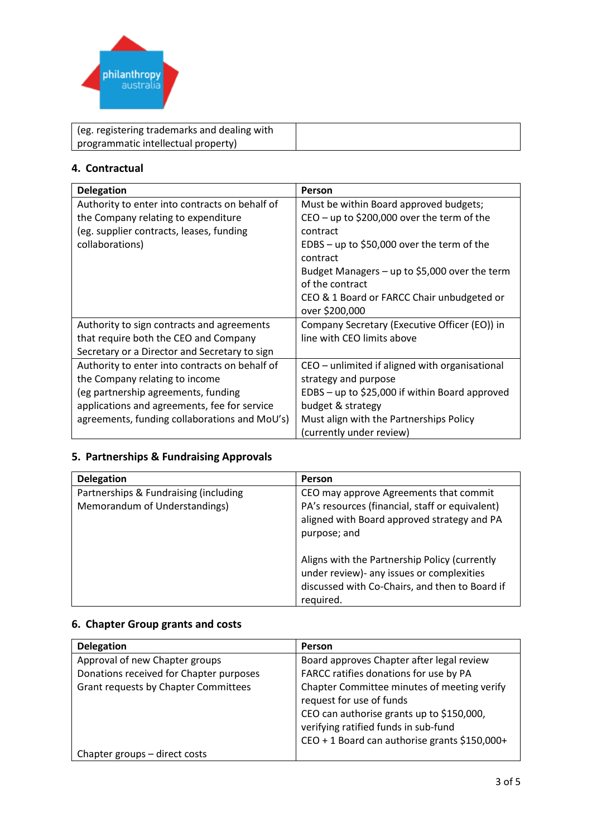

| (eg. registering trademarks and dealing with |  |
|----------------------------------------------|--|
| programmatic intellectual property)          |  |

#### **4. Contractual**

| <b>Delegation</b>                              | Person                                           |
|------------------------------------------------|--------------------------------------------------|
| Authority to enter into contracts on behalf of | Must be within Board approved budgets;           |
| the Company relating to expenditure            | $CEO - up$ to \$200,000 over the term of the     |
| (eg. supplier contracts, leases, funding       | contract                                         |
| collaborations)                                | EDBS - up to \$50,000 over the term of the       |
|                                                | contract                                         |
|                                                | Budget Managers $-$ up to \$5,000 over the term  |
|                                                | of the contract                                  |
|                                                | CEO & 1 Board or FARCC Chair unbudgeted or       |
|                                                | over \$200,000                                   |
| Authority to sign contracts and agreements     | Company Secretary (Executive Officer (EO)) in    |
| that require both the CEO and Company          | line with CEO limits above                       |
| Secretary or a Director and Secretary to sign  |                                                  |
| Authority to enter into contracts on behalf of | CEO – unlimited if aligned with organisational   |
| the Company relating to income                 | strategy and purpose                             |
| (eg partnership agreements, funding            | $EDBS - up$ to \$25,000 if within Board approved |
| applications and agreements, fee for service   | budget & strategy                                |
| agreements, funding collaborations and MoU's)  | Must align with the Partnerships Policy          |
|                                                | (currently under review)                         |

# **5. Partnerships & Fundraising Approvals**

| <b>Delegation</b>                                                      | <b>Person</b>                                                                                                                                                                                                                                          |
|------------------------------------------------------------------------|--------------------------------------------------------------------------------------------------------------------------------------------------------------------------------------------------------------------------------------------------------|
| Partnerships & Fundraising (including<br>Memorandum of Understandings) | CEO may approve Agreements that commit<br>PA's resources (financial, staff or equivalent)<br>aligned with Board approved strategy and PA<br>purpose; and<br>Aligns with the Partnership Policy (currently<br>under review)- any issues or complexities |
|                                                                        | discussed with Co-Chairs, and then to Board if<br>required.                                                                                                                                                                                            |

### **6. Chapter Group grants and costs**

| <b>Delegation</b>                           | Person                                        |
|---------------------------------------------|-----------------------------------------------|
| Approval of new Chapter groups              | Board approves Chapter after legal review     |
| Donations received for Chapter purposes     | FARCC ratifies donations for use by PA        |
| <b>Grant requests by Chapter Committees</b> | Chapter Committee minutes of meeting verify   |
|                                             | request for use of funds                      |
|                                             | CEO can authorise grants up to \$150,000,     |
|                                             | verifying ratified funds in sub-fund          |
|                                             | CEO + 1 Board can authorise grants \$150,000+ |
| Chapter groups - direct costs               |                                               |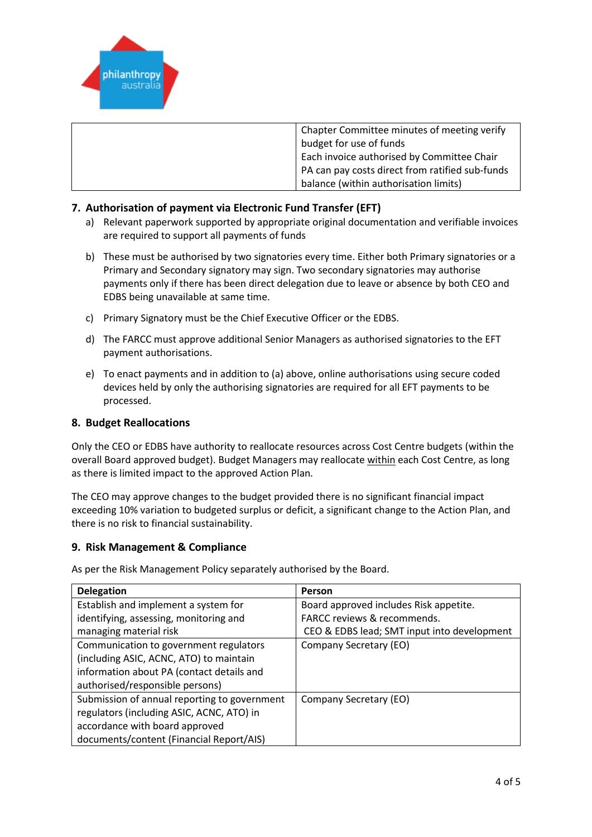

| Chapter Committee minutes of meeting verify     |
|-------------------------------------------------|
| budget for use of funds                         |
| Each invoice authorised by Committee Chair      |
| PA can pay costs direct from ratified sub-funds |
| balance (within authorisation limits)           |

#### **7. Authorisation of payment via Electronic Fund Transfer (EFT)**

- a) Relevant paperwork supported by appropriate original documentation and verifiable invoices are required to support all payments of funds
- b) These must be authorised by two signatories every time. Either both Primary signatories or a Primary and Secondary signatory may sign. Two secondary signatories may authorise payments only if there has been direct delegation due to leave or absence by both CEO and EDBS being unavailable at same time.
- c) Primary Signatory must be the Chief Executive Officer or the EDBS.
- d) The FARCC must approve additional Senior Managers as authorised signatories to the EFT payment authorisations.
- e) To enact payments and in addition to (a) above, online authorisations using secure coded devices held by only the authorising signatories are required for all EFT payments to be processed.

#### **8. Budget Reallocations**

Only the CEO or EDBS have authority to reallocate resources across Cost Centre budgets (within the overall Board approved budget). Budget Managers may reallocate within each Cost Centre, as long as there is limited impact to the approved Action Plan.

The CEO may approve changes to the budget provided there is no significant financial impact exceeding 10% variation to budgeted surplus or deficit, a significant change to the Action Plan, and there is no risk to financial sustainability.

#### **9. Risk Management & Compliance**

As per the Risk Management Policy separately authorised by the Board.

| <b>Delegation</b>                            | Person                                      |
|----------------------------------------------|---------------------------------------------|
| Establish and implement a system for         | Board approved includes Risk appetite.      |
| identifying, assessing, monitoring and       | <b>FARCC reviews &amp; recommends.</b>      |
| managing material risk                       | CEO & EDBS lead; SMT input into development |
| Communication to government regulators       | Company Secretary (EO)                      |
| (including ASIC, ACNC, ATO) to maintain      |                                             |
| information about PA (contact details and    |                                             |
| authorised/responsible persons)              |                                             |
| Submission of annual reporting to government | Company Secretary (EO)                      |
| regulators (including ASIC, ACNC, ATO) in    |                                             |
| accordance with board approved               |                                             |
| documents/content (Financial Report/AIS)     |                                             |